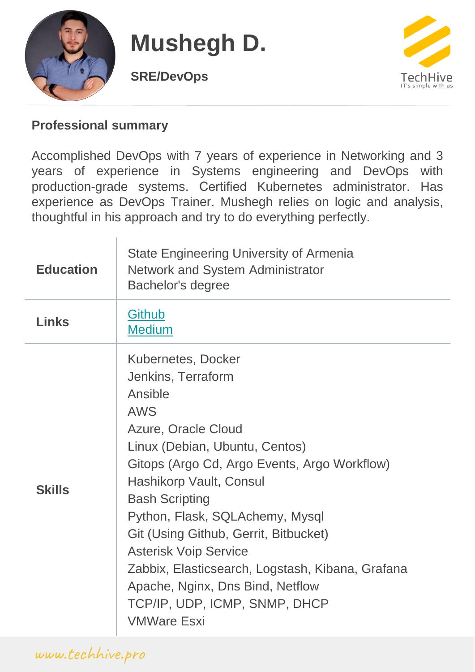

# **Mushegh D.**

**SRE/DevOps**



#### **Professional summary**

Accomplished DevOps with 7 years of experience in Networking and 3 years of experience in Systems engineering and DevOps with production-grade systems. Certified Kubernetes administrator. Has experience as DevOps Trainer. Mushegh relies on logic and analysis, thoughtful in his approach and try to do everything perfectly.

| <b>Education</b> | <b>State Engineering University of Armenia</b><br><b>Network and System Administrator</b><br>Bachelor's degree                                                                                                                                                                                                                                                                                                                                                                                   |
|------------------|--------------------------------------------------------------------------------------------------------------------------------------------------------------------------------------------------------------------------------------------------------------------------------------------------------------------------------------------------------------------------------------------------------------------------------------------------------------------------------------------------|
| <b>Links</b>     | <b>Github</b><br><b>Medium</b>                                                                                                                                                                                                                                                                                                                                                                                                                                                                   |
| <b>Skills</b>    | <b>Kubernetes, Docker</b><br>Jenkins, Terraform<br>Ansible<br><b>AWS</b><br>Azure, Oracle Cloud<br>Linux (Debian, Ubuntu, Centos)<br>Gitops (Argo Cd, Argo Events, Argo Workflow)<br>Hashikorp Vault, Consul<br><b>Bash Scripting</b><br>Python, Flask, SQLAchemy, Mysql<br>Git (Using Github, Gerrit, Bitbucket)<br><b>Asterisk Voip Service</b><br>Zabbix, Elasticsearch, Logstash, Kibana, Grafana<br>Apache, Nginx, Dns Bind, Netflow<br>TCP/IP, UDP, ICMP, SNMP, DHCP<br><b>VMWare Esxi</b> |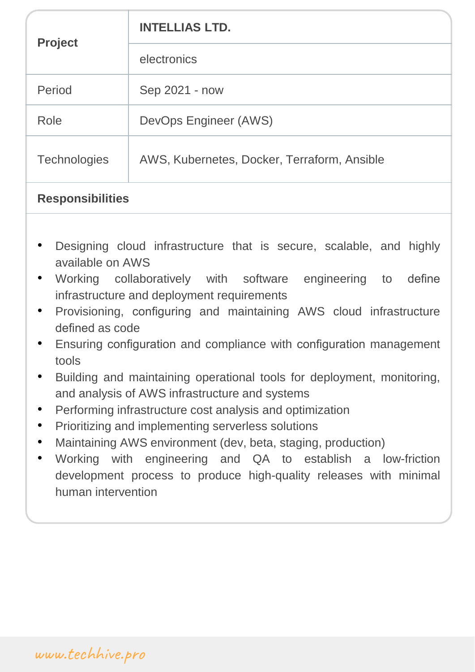| <b>Project</b>      | <b>INTELLIAS LTD.</b>                       |
|---------------------|---------------------------------------------|
|                     | electronics                                 |
| Period              | Sep 2021 - now                              |
| Role                | DevOps Engineer (AWS)                       |
| <b>Technologies</b> | AWS, Kubernetes, Docker, Terraform, Ansible |

#### **Responsibilities**

- Designing cloud infrastructure that is secure, scalable, and highly available on AWS
- Working collaboratively with software engineering to define infrastructure and deployment requirements
- Provisioning, configuring and maintaining AWS cloud infrastructure defined as code
- Ensuring configuration and compliance with configuration management tools
- Building and maintaining operational tools for deployment, monitoring, and analysis of AWS infrastructure and systems
- Performing infrastructure cost analysis and optimization
- Prioritizing and implementing serverless solutions
- Maintaining AWS environment (dev, beta, staging, production)
- Working with engineering and QA to establish a low-friction development process to produce high-quality releases with minimal human intervention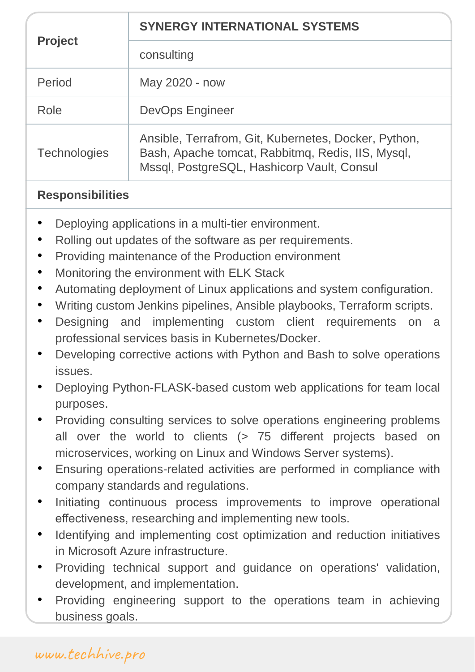| <b>Project</b>      | <b>SYNERGY INTERNATIONAL SYSTEMS</b>                                                                                                                    |
|---------------------|---------------------------------------------------------------------------------------------------------------------------------------------------------|
|                     | consulting                                                                                                                                              |
| Period              | May 2020 - now                                                                                                                                          |
| Role                | <b>DevOps Engineer</b>                                                                                                                                  |
| <b>Technologies</b> | Ansible, Terrafrom, Git, Kubernetes, Docker, Python,<br>Bash, Apache tomcat, Rabbitmq, Redis, IIS, Mysql,<br>Mssql, PostgreSQL, Hashicorp Vault, Consul |

#### **Responsibilities**

- Deploying applications in a multi-tier environment.
- Rolling out updates of the software as per requirements.
- Providing maintenance of the Production environment
- Monitoring the environment with ELK Stack
- Automating deployment of Linux applications and system configuration.
- Writing custom Jenkins pipelines, Ansible playbooks, Terraform scripts.
- Designing and implementing custom client requirements on a professional services basis in Kubernetes/Docker.
- Developing corrective actions with Python and Bash to solve operations issues.
- Deploying Python-FLASK-based custom web applications for team local purposes.
- Providing consulting services to solve operations engineering problems all over the world to clients (> 75 different projects based on microservices, working on Linux and Windows Server systems).
- Ensuring operations-related activities are performed in compliance with company standards and regulations.
- Initiating continuous process improvements to improve operational effectiveness, researching and implementing new tools.
- Identifying and implementing cost optimization and reduction initiatives in Microsoft Azure infrastructure.
- Providing technical support and guidance on operations' validation, development, and implementation.
- Providing engineering support to the operations team in achieving business goals.

## [www.techhive.pro](http://www.techhive.pro/)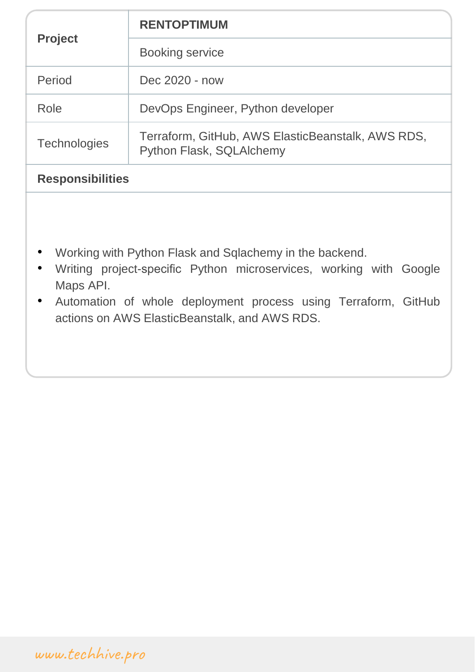| <b>Project</b>          | <b>RENTOPTIMUM</b>                                                            |
|-------------------------|-------------------------------------------------------------------------------|
|                         | <b>Booking service</b>                                                        |
| Period                  | Dec 2020 - now                                                                |
| Role                    | DevOps Engineer, Python developer                                             |
| <b>Technologies</b>     | Terraform, GitHub, AWS ElasticBeanstalk, AWS RDS,<br>Python Flask, SQLAIchemy |
| <b>Responsibilities</b> |                                                                               |

- Working with Python Flask and Sqlachemy in the backend.
- Writing project-specific Python microservices, working with Google Maps API.
- Automation of whole deployment process using Terraform, GitHub actions on AWS ElasticBeanstalk, and AWS RDS.